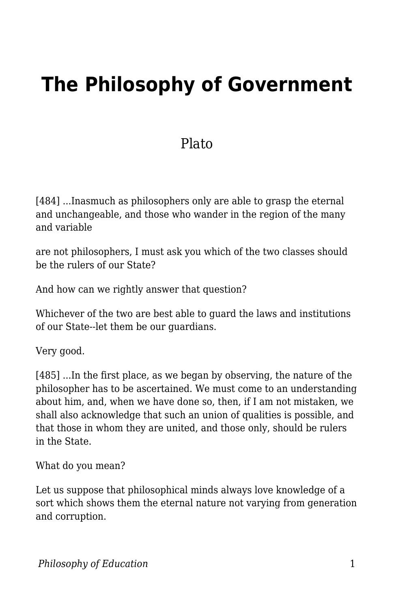# **The Philosophy of Government**

## **Plato**

[484] ...Inasmuch as philosophers only are able to grasp the eternal and unchangeable, and those who wander in the region of the many and variable

are not philosophers, I must ask you which of the two classes should be the rulers of our State?

And how can we rightly answer that question?

Whichever of the two are best able to guard the laws and institutions of our State--let them be our guardians.

Very good.

[485] ...In the first place, as we began by observing, the nature of the philosopher has to be ascertained. We must come to an understanding about him, and, when we have done so, then, if I am not mistaken, we shall also acknowledge that such an union of qualities is possible, and that those in whom they are united, and those only, should be rulers in the State.

What do you mean?

Let us suppose that philosophical minds always love knowledge of a sort which shows them the eternal nature not varying from generation and corruption.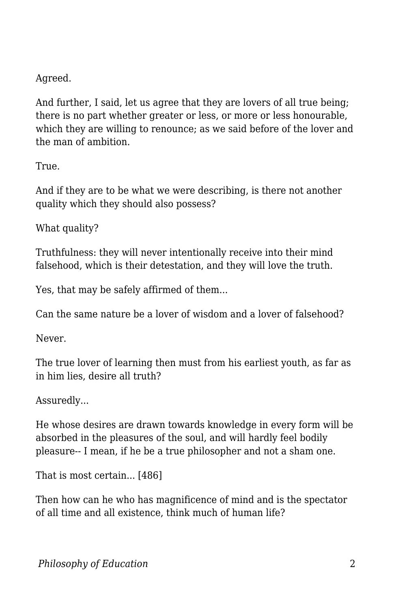### Agreed.

And further, I said, let us agree that they are lovers of all true being; there is no part whether greater or less, or more or less honourable, which they are willing to renounce; as we said before of the lover and the man of ambition.

True.

And if they are to be what we were describing, is there not another quality which they should also possess?

What quality?

Truthfulness: they will never intentionally receive into their mind falsehood, which is their detestation, and they will love the truth.

Yes, that may be safely affirmed of them...

Can the same nature be a lover of wisdom and a lover of falsehood?

Never.

The true lover of learning then must from his earliest youth, as far as in him lies, desire all truth?

Assuredly...

He whose desires are drawn towards knowledge in every form will be absorbed in the pleasures of the soul, and will hardly feel bodily pleasure-- I mean, if he be a true philosopher and not a sham one.

That is most certain... [486]

Then how can he who has magnificence of mind and is the spectator of all time and all existence, think much of human life?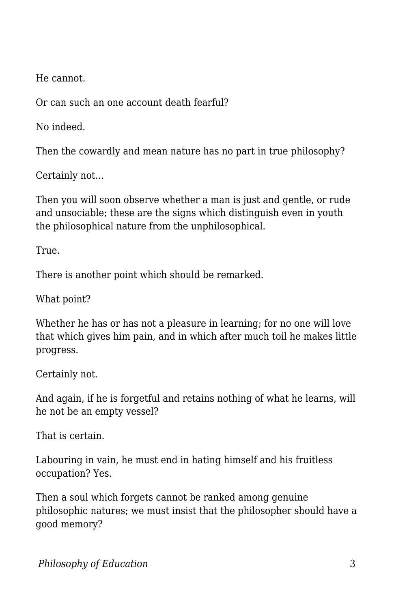He cannot.

Or can such an one account death fearful?

No indeed.

Then the cowardly and mean nature has no part in true philosophy?

Certainly not...

Then you will soon observe whether a man is just and gentle, or rude and unsociable; these are the signs which distinguish even in youth the philosophical nature from the unphilosophical.

True.

There is another point which should be remarked.

What point?

Whether he has or has not a pleasure in learning; for no one will love that which gives him pain, and in which after much toil he makes little progress.

Certainly not.

And again, if he is forgetful and retains nothing of what he learns, will he not be an empty vessel?

That is certain.

Labouring in vain, he must end in hating himself and his fruitless occupation? Yes.

Then a soul which forgets cannot be ranked among genuine philosophic natures; we must insist that the philosopher should have a good memory?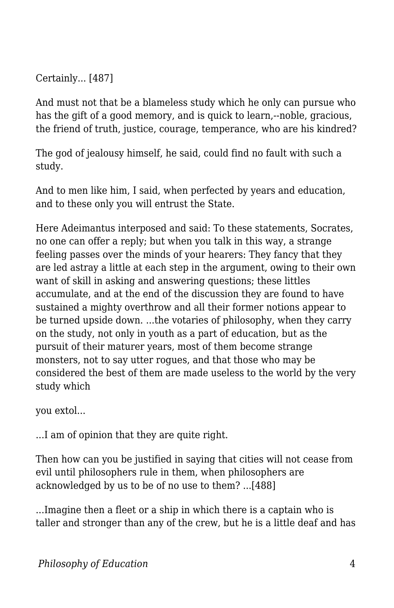Certainly... [487]

And must not that be a blameless study which he only can pursue who has the gift of a good memory, and is quick to learn,--noble, gracious, the friend of truth, justice, courage, temperance, who are his kindred?

The god of jealousy himself, he said, could find no fault with such a study.

And to men like him, I said, when perfected by years and education, and to these only you will entrust the State.

Here Adeimantus interposed and said: To these statements, Socrates, no one can offer a reply; but when you talk in this way, a strange feeling passes over the minds of your hearers: They fancy that they are led astray a little at each step in the argument, owing to their own want of skill in asking and answering questions; these littles accumulate, and at the end of the discussion they are found to have sustained a mighty overthrow and all their former notions appear to be turned upside down. ...the votaries of philosophy, when they carry on the study, not only in youth as a part of education, but as the pursuit of their maturer years, most of them become strange monsters, not to say utter rogues, and that those who may be considered the best of them are made useless to the world by the very study which

you extol...

...I am of opinion that they are quite right.

Then how can you be justified in saying that cities will not cease from evil until philosophers rule in them, when philosophers are acknowledged by us to be of no use to them? ...[488]

...Imagine then a fleet or a ship in which there is a captain who is taller and stronger than any of the crew, but he is a little deaf and has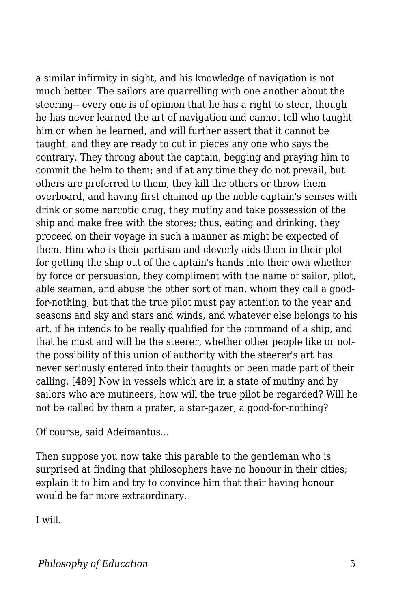a similar infirmity in sight, and his knowledge of navigation is not much better. The sailors are quarrelling with one another about the steering-- every one is of opinion that he has a right to steer, though he has never learned the art of navigation and cannot tell who taught him or when he learned, and will further assert that it cannot be taught, and they are ready to cut in pieces any one who says the contrary. They throng about the captain, begging and praying him to commit the helm to them; and if at any time they do not prevail, but others are preferred to them, they kill the others or throw them overboard, and having first chained up the noble captain's senses with drink or some narcotic drug, they mutiny and take possession of the ship and make free with the stores; thus, eating and drinking, they proceed on their voyage in such a manner as might be expected of them. Him who is their partisan and cleverly aids them in their plot for getting the ship out of the captain's hands into their own whether by force or persuasion, they compliment with the name of sailor, pilot, able seaman, and abuse the other sort of man, whom they call a goodfor-nothing; but that the true pilot must pay attention to the year and seasons and sky and stars and winds, and whatever else belongs to his art, if he intends to be really qualified for the command of a ship, and that he must and will be the steerer, whether other people like or notthe possibility of this union of authority with the steerer's art has never seriously entered into their thoughts or been made part of their calling. [489] Now in vessels which are in a state of mutiny and by sailors who are mutineers, how will the true pilot be regarded? Will he not be called by them a prater, a star-gazer, a good-for-nothing?

Of course, said Adeimantus...

Then suppose you now take this parable to the gentleman who is surprised at finding that philosophers have no honour in their cities; explain it to him and try to convince him that their having honour would be far more extraordinary.

I will.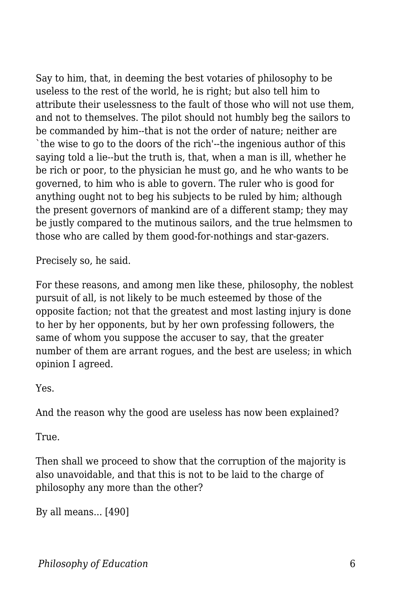Say to him, that, in deeming the best votaries of philosophy to be useless to the rest of the world, he is right; but also tell him to attribute their uselessness to the fault of those who will not use them, and not to themselves. The pilot should not humbly beg the sailors to be commanded by him--that is not the order of nature; neither are `the wise to go to the doors of the rich'--the ingenious author of this saying told a lie--but the truth is, that, when a man is ill, whether he be rich or poor, to the physician he must go, and he who wants to be governed, to him who is able to govern. The ruler who is good for anything ought not to beg his subjects to be ruled by him; although the present governors of mankind are of a different stamp; they may be justly compared to the mutinous sailors, and the true helmsmen to those who are called by them good-for-nothings and star-gazers.

Precisely so, he said.

For these reasons, and among men like these, philosophy, the noblest pursuit of all, is not likely to be much esteemed by those of the opposite faction; not that the greatest and most lasting injury is done to her by her opponents, but by her own professing followers, the same of whom you suppose the accuser to say, that the greater number of them are arrant rogues, and the best are useless; in which opinion I agreed.

Yes.

And the reason why the good are useless has now been explained?

True.

Then shall we proceed to show that the corruption of the majority is also unavoidable, and that this is not to be laid to the charge of philosophy any more than the other?

By all means... [490]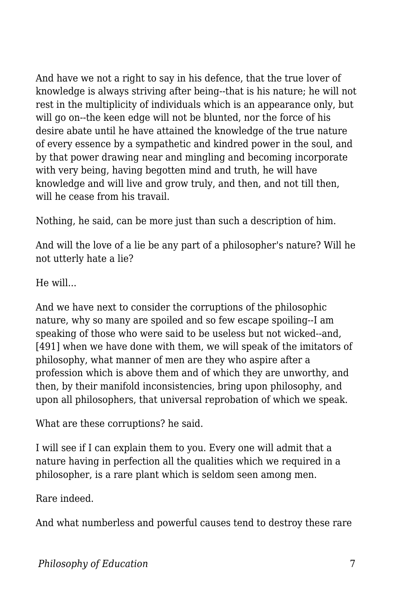And have we not a right to say in his defence, that the true lover of knowledge is always striving after being--that is his nature; he will not rest in the multiplicity of individuals which is an appearance only, but will go on--the keen edge will not be blunted, nor the force of his desire abate until he have attained the knowledge of the true nature of every essence by a sympathetic and kindred power in the soul, and by that power drawing near and mingling and becoming incorporate with very being, having begotten mind and truth, he will have knowledge and will live and grow truly, and then, and not till then, will he cease from his travail.

Nothing, he said, can be more just than such a description of him.

And will the love of a lie be any part of a philosopher's nature? Will he not utterly hate a lie?

He will...

And we have next to consider the corruptions of the philosophic nature, why so many are spoiled and so few escape spoiling--I am speaking of those who were said to be useless but not wicked--and, [491] when we have done with them, we will speak of the imitators of philosophy, what manner of men are they who aspire after a profession which is above them and of which they are unworthy, and then, by their manifold inconsistencies, bring upon philosophy, and upon all philosophers, that universal reprobation of which we speak.

What are these corruptions? he said.

I will see if I can explain them to you. Every one will admit that a nature having in perfection all the qualities which we required in a philosopher, is a rare plant which is seldom seen among men.

Rare indeed.

And what numberless and powerful causes tend to destroy these rare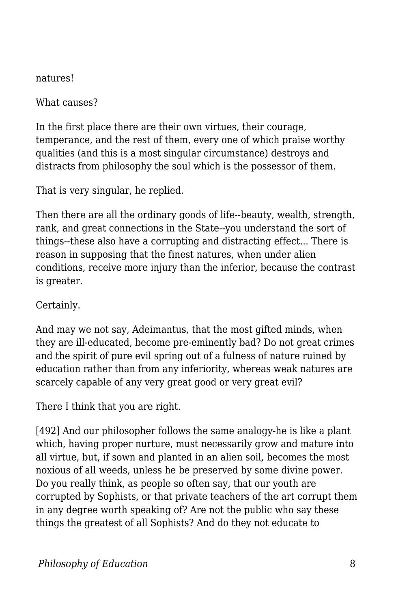natures!

What causes?

In the first place there are their own virtues, their courage, temperance, and the rest of them, every one of which praise worthy qualities (and this is a most singular circumstance) destroys and distracts from philosophy the soul which is the possessor of them.

That is very singular, he replied.

Then there are all the ordinary goods of life--beauty, wealth, strength, rank, and great connections in the State--you understand the sort of things--these also have a corrupting and distracting effect... There is reason in supposing that the finest natures, when under alien conditions, receive more injury than the inferior, because the contrast is greater.

Certainly.

And may we not say, Adeimantus, that the most gifted minds, when they are ill-educated, become pre-eminently bad? Do not great crimes and the spirit of pure evil spring out of a fulness of nature ruined by education rather than from any inferiority, whereas weak natures are scarcely capable of any very great good or very great evil?

There I think that you are right.

[492] And our philosopher follows the same analogy-he is like a plant which, having proper nurture, must necessarily grow and mature into all virtue, but, if sown and planted in an alien soil, becomes the most noxious of all weeds, unless he be preserved by some divine power. Do you really think, as people so often say, that our youth are corrupted by Sophists, or that private teachers of the art corrupt them in any degree worth speaking of? Are not the public who say these things the greatest of all Sophists? And do they not educate to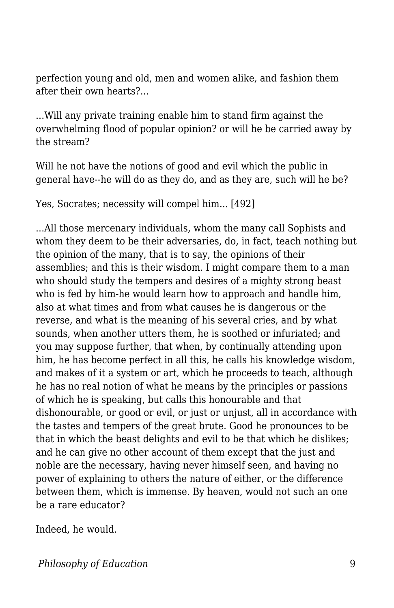perfection young and old, men and women alike, and fashion them after their own hearts?...

...Will any private training enable him to stand firm against the overwhelming flood of popular opinion? or will he be carried away by the stream?

Will he not have the notions of good and evil which the public in general have--he will do as they do, and as they are, such will he be?

Yes, Socrates; necessity will compel him... [492]

...All those mercenary individuals, whom the many call Sophists and whom they deem to be their adversaries, do, in fact, teach nothing but the opinion of the many, that is to say, the opinions of their assemblies; and this is their wisdom. I might compare them to a man who should study the tempers and desires of a mighty strong beast who is fed by him-he would learn how to approach and handle him, also at what times and from what causes he is dangerous or the reverse, and what is the meaning of his several cries, and by what sounds, when another utters them, he is soothed or infuriated; and you may suppose further, that when, by continually attending upon him, he has become perfect in all this, he calls his knowledge wisdom, and makes of it a system or art, which he proceeds to teach, although he has no real notion of what he means by the principles or passions of which he is speaking, but calls this honourable and that dishonourable, or good or evil, or just or unjust, all in accordance with the tastes and tempers of the great brute. Good he pronounces to be that in which the beast delights and evil to be that which he dislikes; and he can give no other account of them except that the just and noble are the necessary, having never himself seen, and having no power of explaining to others the nature of either, or the difference between them, which is immense. By heaven, would not such an one be a rare educator?

Indeed, he would.

*Philosophy of Education* 9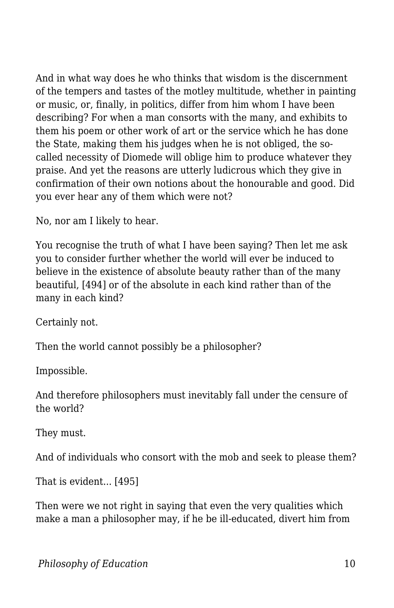And in what way does he who thinks that wisdom is the discernment of the tempers and tastes of the motley multitude, whether in painting or music, or, finally, in politics, differ from him whom I have been describing? For when a man consorts with the many, and exhibits to them his poem or other work of art or the service which he has done the State, making them his judges when he is not obliged, the socalled necessity of Diomede will oblige him to produce whatever they praise. And yet the reasons are utterly ludicrous which they give in confirmation of their own notions about the honourable and good. Did you ever hear any of them which were not?

No, nor am I likely to hear.

You recognise the truth of what I have been saying? Then let me ask you to consider further whether the world will ever be induced to believe in the existence of absolute beauty rather than of the many beautiful, [494] or of the absolute in each kind rather than of the many in each kind?

Certainly not.

Then the world cannot possibly be a philosopher?

Impossible.

And therefore philosophers must inevitably fall under the censure of the world?

They must.

And of individuals who consort with the mob and seek to please them?

That is evident... [495]

Then were we not right in saying that even the very qualities which make a man a philosopher may, if he be ill-educated, divert him from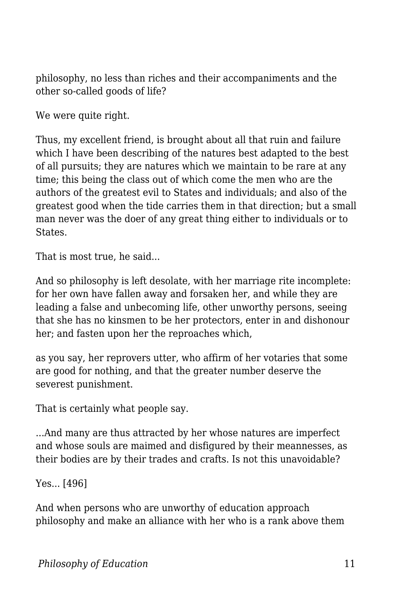philosophy, no less than riches and their accompaniments and the other so-called goods of life?

We were quite right.

Thus, my excellent friend, is brought about all that ruin and failure which I have been describing of the natures best adapted to the best of all pursuits; they are natures which we maintain to be rare at any time; this being the class out of which come the men who are the authors of the greatest evil to States and individuals; and also of the greatest good when the tide carries them in that direction; but a small man never was the doer of any great thing either to individuals or to **States**.

That is most true, he said...

And so philosophy is left desolate, with her marriage rite incomplete: for her own have fallen away and forsaken her, and while they are leading a false and unbecoming life, other unworthy persons, seeing that she has no kinsmen to be her protectors, enter in and dishonour her; and fasten upon her the reproaches which,

as you say, her reprovers utter, who affirm of her votaries that some are good for nothing, and that the greater number deserve the severest punishment.

That is certainly what people say.

...And many are thus attracted by her whose natures are imperfect and whose souls are maimed and disfigured by their meannesses, as their bodies are by their trades and crafts. Is not this unavoidable?

Yes... [496]

And when persons who are unworthy of education approach philosophy and make an alliance with her who is a rank above them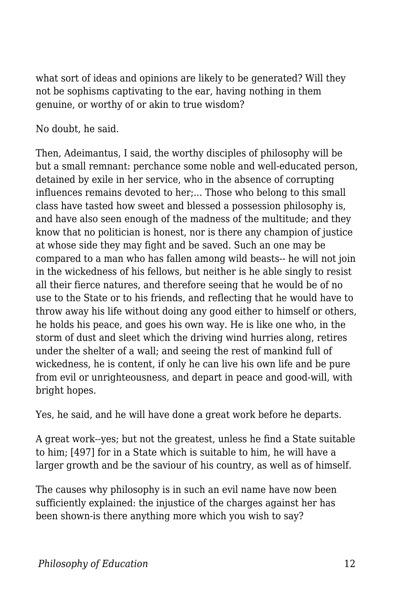what sort of ideas and opinions are likely to be generated? Will they not be sophisms captivating to the ear, having nothing in them genuine, or worthy of or akin to true wisdom?

No doubt, he said.

Then, Adeimantus, I said, the worthy disciples of philosophy will be but a small remnant: perchance some noble and well-educated person, detained by exile in her service, who in the absence of corrupting influences remains devoted to her;... Those who belong to this small class have tasted how sweet and blessed a possession philosophy is, and have also seen enough of the madness of the multitude; and they know that no politician is honest, nor is there any champion of justice at whose side they may fight and be saved. Such an one may be compared to a man who has fallen among wild beasts-- he will not join in the wickedness of his fellows, but neither is he able singly to resist all their fierce natures, and therefore seeing that he would be of no use to the State or to his friends, and reflecting that he would have to throw away his life without doing any good either to himself or others, he holds his peace, and goes his own way. He is like one who, in the storm of dust and sleet which the driving wind hurries along, retires under the shelter of a wall; and seeing the rest of mankind full of wickedness, he is content, if only he can live his own life and be pure from evil or unrighteousness, and depart in peace and good-will, with bright hopes.

Yes, he said, and he will have done a great work before he departs.

A great work--yes; but not the greatest, unless he find a State suitable to him; [497] for in a State which is suitable to him, he will have a larger growth and be the saviour of his country, as well as of himself.

The causes why philosophy is in such an evil name have now been sufficiently explained: the injustice of the charges against her has been shown-is there anything more which you wish to say?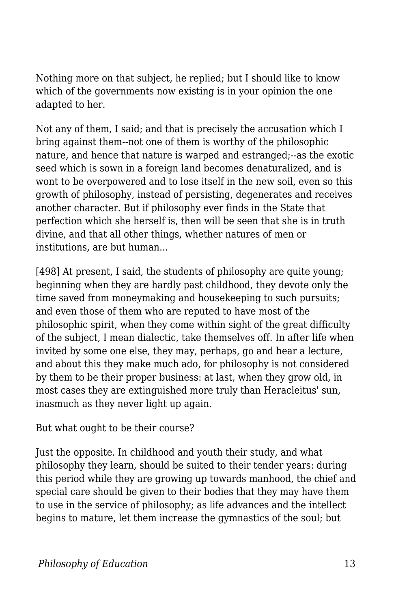Nothing more on that subject, he replied; but I should like to know which of the governments now existing is in your opinion the one adapted to her.

Not any of them, I said; and that is precisely the accusation which I bring against them--not one of them is worthy of the philosophic nature, and hence that nature is warped and estranged;--as the exotic seed which is sown in a foreign land becomes denaturalized, and is wont to be overpowered and to lose itself in the new soil, even so this growth of philosophy, instead of persisting, degenerates and receives another character. But if philosophy ever finds in the State that perfection which she herself is, then will be seen that she is in truth divine, and that all other things, whether natures of men or institutions, are but human...

[498] At present, I said, the students of philosophy are quite young; beginning when they are hardly past childhood, they devote only the time saved from moneymaking and housekeeping to such pursuits; and even those of them who are reputed to have most of the philosophic spirit, when they come within sight of the great difficulty of the subject, I mean dialectic, take themselves off. In after life when invited by some one else, they may, perhaps, go and hear a lecture, and about this they make much ado, for philosophy is not considered by them to be their proper business: at last, when they grow old, in most cases they are extinguished more truly than Heracleitus' sun, inasmuch as they never light up again.

But what ought to be their course?

Just the opposite. In childhood and youth their study, and what philosophy they learn, should be suited to their tender years: during this period while they are growing up towards manhood, the chief and special care should be given to their bodies that they may have them to use in the service of philosophy; as life advances and the intellect begins to mature, let them increase the gymnastics of the soul; but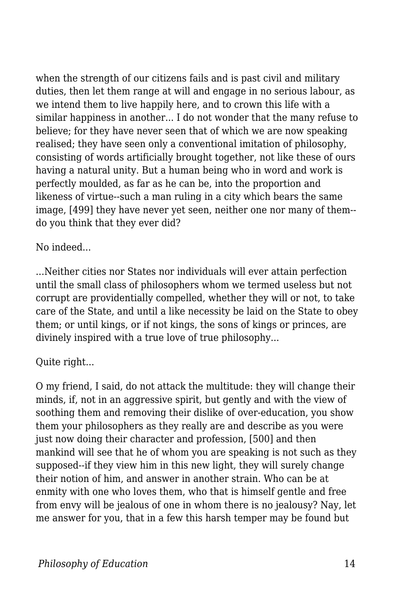when the strength of our citizens fails and is past civil and military duties, then let them range at will and engage in no serious labour, as we intend them to live happily here, and to crown this life with a similar happiness in another... I do not wonder that the many refuse to believe; for they have never seen that of which we are now speaking realised; they have seen only a conventional imitation of philosophy, consisting of words artificially brought together, not like these of ours having a natural unity. But a human being who in word and work is perfectly moulded, as far as he can be, into the proportion and likeness of virtue--such a man ruling in a city which bears the same image, [499] they have never yet seen, neither one nor many of them- do you think that they ever did?

#### No indeed...

...Neither cities nor States nor individuals will ever attain perfection until the small class of philosophers whom we termed useless but not corrupt are providentially compelled, whether they will or not, to take care of the State, and until a like necessity be laid on the State to obey them; or until kings, or if not kings, the sons of kings or princes, are divinely inspired with a true love of true philosophy...

#### Quite right...

O my friend, I said, do not attack the multitude: they will change their minds, if, not in an aggressive spirit, but gently and with the view of soothing them and removing their dislike of over-education, you show them your philosophers as they really are and describe as you were just now doing their character and profession, [500] and then mankind will see that he of whom you are speaking is not such as they supposed--if they view him in this new light, they will surely change their notion of him, and answer in another strain. Who can be at enmity with one who loves them, who that is himself gentle and free from envy will be jealous of one in whom there is no jealousy? Nay, let me answer for you, that in a few this harsh temper may be found but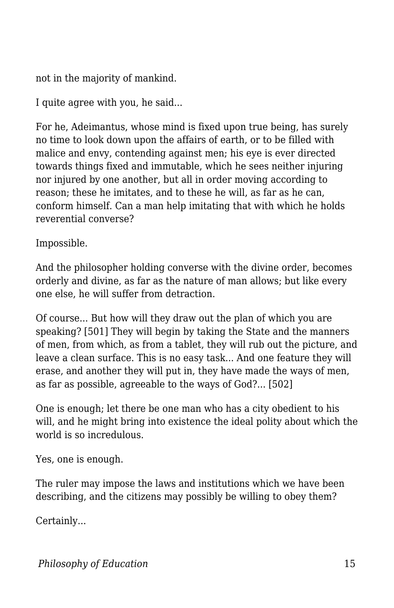not in the majority of mankind.

I quite agree with you, he said...

For he, Adeimantus, whose mind is fixed upon true being, has surely no time to look down upon the affairs of earth, or to be filled with malice and envy, contending against men; his eye is ever directed towards things fixed and immutable, which he sees neither injuring nor injured by one another, but all in order moving according to reason; these he imitates, and to these he will, as far as he can, conform himself. Can a man help imitating that with which he holds reverential converse?

Impossible.

And the philosopher holding converse with the divine order, becomes orderly and divine, as far as the nature of man allows; but like every one else, he will suffer from detraction.

Of course... But how will they draw out the plan of which you are speaking? [501] They will begin by taking the State and the manners of men, from which, as from a tablet, they will rub out the picture, and leave a clean surface. This is no easy task... And one feature they will erase, and another they will put in, they have made the ways of men, as far as possible, agreeable to the ways of God?... [502]

One is enough; let there be one man who has a city obedient to his will, and he might bring into existence the ideal polity about which the world is so incredulous.

Yes, one is enough.

The ruler may impose the laws and institutions which we have been describing, and the citizens may possibly be willing to obey them?

Certainly...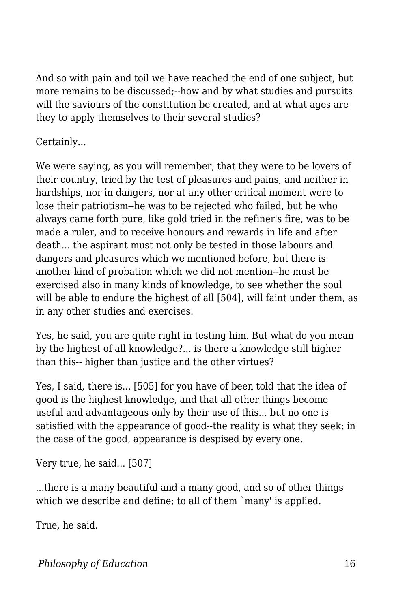And so with pain and toil we have reached the end of one subject, but more remains to be discussed;--how and by what studies and pursuits will the saviours of the constitution be created, and at what ages are they to apply themselves to their several studies?

Certainly...

We were saying, as you will remember, that they were to be lovers of their country, tried by the test of pleasures and pains, and neither in hardships, nor in dangers, nor at any other critical moment were to lose their patriotism--he was to be rejected who failed, but he who always came forth pure, like gold tried in the refiner's fire, was to be made a ruler, and to receive honours and rewards in life and after death... the aspirant must not only be tested in those labours and dangers and pleasures which we mentioned before, but there is another kind of probation which we did not mention--he must be exercised also in many kinds of knowledge, to see whether the soul will be able to endure the highest of all [504], will faint under them, as in any other studies and exercises.

Yes, he said, you are quite right in testing him. But what do you mean by the highest of all knowledge?... is there a knowledge still higher than this-- higher than justice and the other virtues?

Yes, I said, there is... [505] for you have of been told that the idea of good is the highest knowledge, and that all other things become useful and advantageous only by their use of this... but no one is satisfied with the appearance of good--the reality is what they seek; in the case of the good, appearance is despised by every one.

Very true, he said... [507]

...there is a many beautiful and a many good, and so of other things which we describe and define; to all of them `many' is applied.

True, he said.

*Philosophy of Education* 16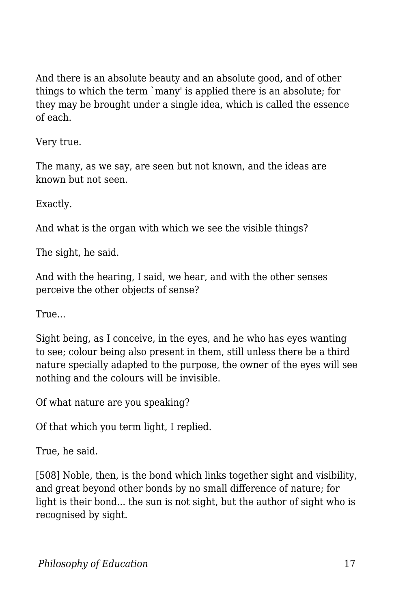And there is an absolute beauty and an absolute good, and of other things to which the term `many' is applied there is an absolute; for they may be brought under a single idea, which is called the essence of each.

Very true.

The many, as we say, are seen but not known, and the ideas are known but not seen.

Exactly.

And what is the organ with which we see the visible things?

The sight, he said.

And with the hearing, I said, we hear, and with the other senses perceive the other objects of sense?

True...

Sight being, as I conceive, in the eyes, and he who has eyes wanting to see; colour being also present in them, still unless there be a third nature specially adapted to the purpose, the owner of the eyes will see nothing and the colours will be invisible.

Of what nature are you speaking?

Of that which you term light, I replied.

True, he said.

[508] Noble, then, is the bond which links together sight and visibility, and great beyond other bonds by no small difference of nature; for light is their bond... the sun is not sight, but the author of sight who is recognised by sight.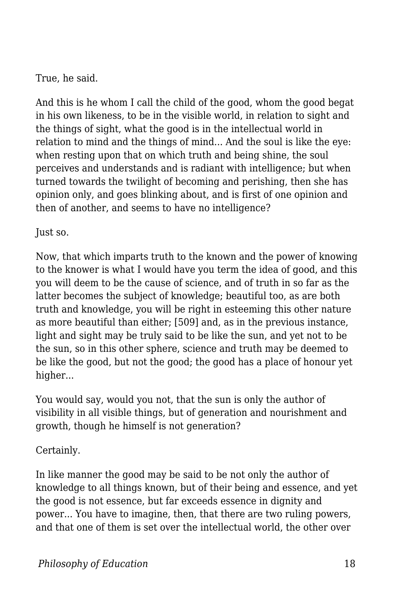True, he said.

And this is he whom I call the child of the good, whom the good begat in his own likeness, to be in the visible world, in relation to sight and the things of sight, what the good is in the intellectual world in relation to mind and the things of mind... And the soul is like the eye: when resting upon that on which truth and being shine, the soul perceives and understands and is radiant with intelligence; but when turned towards the twilight of becoming and perishing, then she has opinion only, and goes blinking about, and is first of one opinion and then of another, and seems to have no intelligence?

Just so.

Now, that which imparts truth to the known and the power of knowing to the knower is what I would have you term the idea of good, and this you will deem to be the cause of science, and of truth in so far as the latter becomes the subject of knowledge; beautiful too, as are both truth and knowledge, you will be right in esteeming this other nature as more beautiful than either; [509] and, as in the previous instance, light and sight may be truly said to be like the sun, and yet not to be the sun, so in this other sphere, science and truth may be deemed to be like the good, but not the good; the good has a place of honour yet higher...

You would say, would you not, that the sun is only the author of visibility in all visible things, but of generation and nourishment and growth, though he himself is not generation?

Certainly.

In like manner the good may be said to be not only the author of knowledge to all things known, but of their being and essence, and yet the good is not essence, but far exceeds essence in dignity and power... You have to imagine, then, that there are two ruling powers, and that one of them is set over the intellectual world, the other over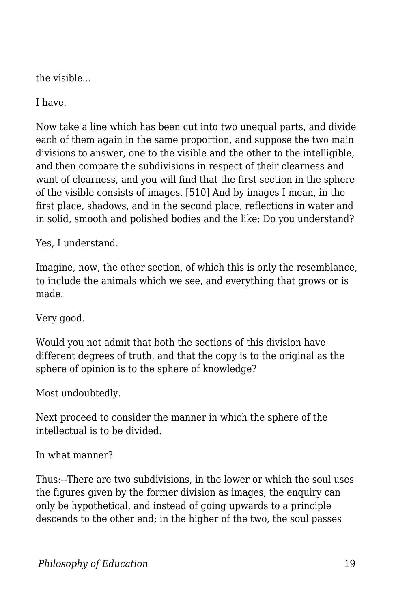the visible...

I have.

Now take a line which has been cut into two unequal parts, and divide each of them again in the same proportion, and suppose the two main divisions to answer, one to the visible and the other to the intelligible, and then compare the subdivisions in respect of their clearness and want of clearness, and you will find that the first section in the sphere of the visible consists of images. [510] And by images I mean, in the first place, shadows, and in the second place, reflections in water and in solid, smooth and polished bodies and the like: Do you understand?

Yes, I understand.

Imagine, now, the other section, of which this is only the resemblance, to include the animals which we see, and everything that grows or is made.

Very good.

Would you not admit that both the sections of this division have different degrees of truth, and that the copy is to the original as the sphere of opinion is to the sphere of knowledge?

Most undoubtedly.

Next proceed to consider the manner in which the sphere of the intellectual is to be divided.

In what manner?

Thus:--There are two subdivisions, in the lower or which the soul uses the figures given by the former division as images; the enquiry can only be hypothetical, and instead of going upwards to a principle descends to the other end; in the higher of the two, the soul passes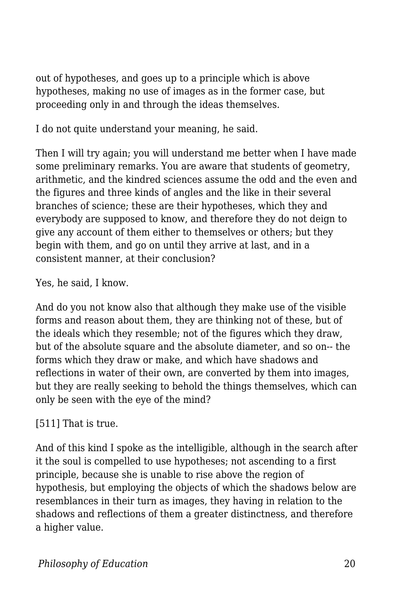out of hypotheses, and goes up to a principle which is above hypotheses, making no use of images as in the former case, but proceeding only in and through the ideas themselves.

I do not quite understand your meaning, he said.

Then I will try again; you will understand me better when I have made some preliminary remarks. You are aware that students of geometry, arithmetic, and the kindred sciences assume the odd and the even and the figures and three kinds of angles and the like in their several branches of science; these are their hypotheses, which they and everybody are supposed to know, and therefore they do not deign to give any account of them either to themselves or others; but they begin with them, and go on until they arrive at last, and in a consistent manner, at their conclusion?

Yes, he said, I know.

And do you not know also that although they make use of the visible forms and reason about them, they are thinking not of these, but of the ideals which they resemble; not of the figures which they draw, but of the absolute square and the absolute diameter, and so on-- the forms which they draw or make, and which have shadows and reflections in water of their own, are converted by them into images, but they are really seeking to behold the things themselves, which can only be seen with the eye of the mind?

[511] That is true.

And of this kind I spoke as the intelligible, although in the search after it the soul is compelled to use hypotheses; not ascending to a first principle, because she is unable to rise above the region of hypothesis, but employing the objects of which the shadows below are resemblances in their turn as images, they having in relation to the shadows and reflections of them a greater distinctness, and therefore a higher value.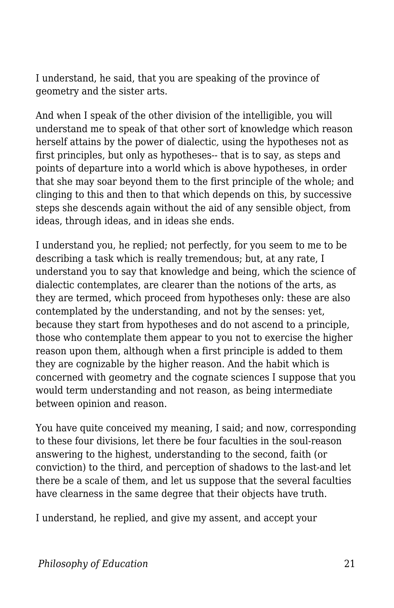I understand, he said, that you are speaking of the province of geometry and the sister arts.

And when I speak of the other division of the intelligible, you will understand me to speak of that other sort of knowledge which reason herself attains by the power of dialectic, using the hypotheses not as first principles, but only as hypotheses-- that is to say, as steps and points of departure into a world which is above hypotheses, in order that she may soar beyond them to the first principle of the whole; and clinging to this and then to that which depends on this, by successive steps she descends again without the aid of any sensible object, from ideas, through ideas, and in ideas she ends.

I understand you, he replied; not perfectly, for you seem to me to be describing a task which is really tremendous; but, at any rate, I understand you to say that knowledge and being, which the science of dialectic contemplates, are clearer than the notions of the arts, as they are termed, which proceed from hypotheses only: these are also contemplated by the understanding, and not by the senses: yet, because they start from hypotheses and do not ascend to a principle, those who contemplate them appear to you not to exercise the higher reason upon them, although when a first principle is added to them they are cognizable by the higher reason. And the habit which is concerned with geometry and the cognate sciences I suppose that you would term understanding and not reason, as being intermediate between opinion and reason.

You have quite conceived my meaning, I said; and now, corresponding to these four divisions, let there be four faculties in the soul-reason answering to the highest, understanding to the second, faith (or conviction) to the third, and perception of shadows to the last-and let there be a scale of them, and let us suppose that the several faculties have clearness in the same degree that their objects have truth.

I understand, he replied, and give my assent, and accept your